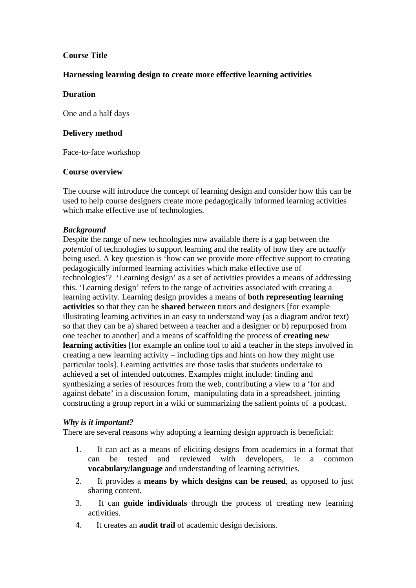## **Course Title**

### **Harnessing learning design to create more effective learning activities**

#### **Duration**

One and a half days

#### **Delivery method**

Face-to-face workshop

### **Course overview**

The course will introduce the concept of learning design and consider how this can be used to help course designers create more pedagogically informed learning activities which make effective use of technologies.

## *Background*

Despite the range of new technologies now available there is a gap between the *potential* of technologies to support learning and the reality of how they are *actually* being used. A key question is 'how can we provide more effective support to creating pedagogically informed learning activities which make effective use of technologies'? 'Learning design' as a set of activities provides a means of addressing this. 'Learning design' refers to the range of activities associated with creating a learning activity. Learning design provides a means of **both representing learning activities** so that they can be **shared** between tutors and designers [for example illustrating learning activities in an easy to understand way (as a diagram and/or text) so that they can be a) shared between a teacher and a designer or b) repurposed from one teacher to another] and a means of scaffolding the process of **creating new learning activities** [for example an online tool to aid a teacher in the steps involved in creating a new learning activity – including tips and hints on how they might use particular tools]. Learning activities are those tasks that students undertake to achieved a set of intended outcomes. Examples might include: finding and synthesizing a series of resources from the web, contributing a view to a 'for and against debate' in a discussion forum, manipulating data in a spreadsheet, jointing constructing a group report in a wiki or summarizing the salient points of a podcast.

#### *Why is it important?*

There are several reasons why adopting a learning design approach is beneficial:

- 1. It can act as a means of eliciting designs from academics in a format that can be tested and reviewed with developers, ie a common **vocabulary/language** and understanding of learning activities.
- 2. It provides a **means by which designs can be reused**, as opposed to just sharing content.
- 3. It can **guide individuals** through the process of creating new learning activities.
- 4. It creates an **audit trail** of academic design decisions.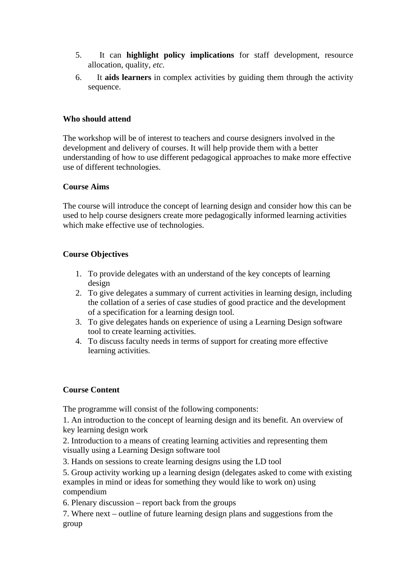- 5. It can **highlight policy implications** for staff development, resource allocation, quality, *etc.*
- 6. It **aids learners** in complex activities by guiding them through the activity sequence.

# **Who should attend**

The workshop will be of interest to teachers and course designers involved in the development and delivery of courses. It will help provide them with a better understanding of how to use different pedagogical approaches to make more effective use of different technologies.

### **Course Aims**

The course will introduce the concept of learning design and consider how this can be used to help course designers create more pedagogically informed learning activities which make effective use of technologies.

## **Course Objectives**

- 1. To provide delegates with an understand of the key concepts of learning design
- 2. To give delegates a summary of current activities in learning design, including the collation of a series of case studies of good practice and the development of a specification for a learning design tool.
- 3. To give delegates hands on experience of using a Learning Design software tool to create learning activities.
- 4. To discuss faculty needs in terms of support for creating more effective learning activities.

## **Course Content**

The programme will consist of the following components:

1. An introduction to the concept of learning design and its benefit. An overview of key learning design work

2. Introduction to a means of creating learning activities and representing them visually using a Learning Design software tool

3. Hands on sessions to create learning designs using the LD tool

5. Group activity working up a learning design (delegates asked to come with existing examples in mind or ideas for something they would like to work on) using compendium

6. Plenary discussion – report back from the groups

7. Where next – outline of future learning design plans and suggestions from the group